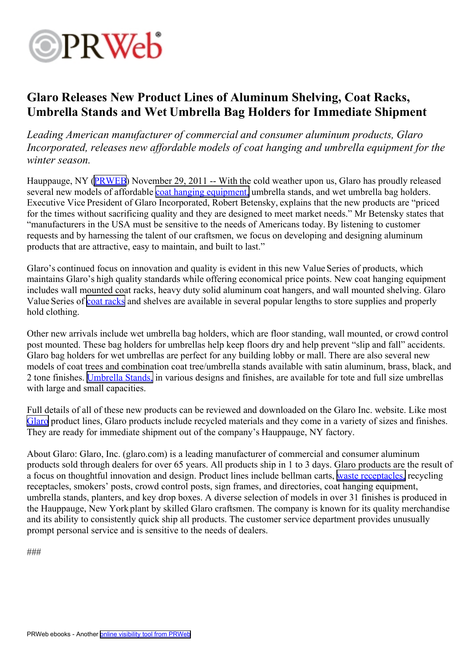

## **Glaro Releases New Product Lines of Aluminum Shelving, Coat Racks, Umbrella Stands and Wet Umbrella Bag Holders for Immediate Shipment**

*Leading American manufacturer of commercial and consumer aluminum products, Glaro Incorporated, releases new affordable models of coat hanging and umbrella equipment for the winter season.*

Hauppauge, NY ([PRWEB\)](http://www.prweb.com) November 29, 2011 -- With the cold weather upon us, Glaro has proudly released several new models of affordable coat [hanging](http://glaro.com/Coat.htm) equipment, umbrella stands, and wet umbrella bag holders. Executive Vice President of Glaro Incorporated, Robert Betensky, explains that the new products are "priced for the times without sacrificing quality and they are designed to meet market needs." Mr Betensky states that "manufacturers in the USA must be sensitive to the needs of Americans today. By listening to customer requests and by harnessing the talent of our craftsmen, we focus on developing and designing aluminum products that are attractive, easy to maintain, and built to last."

Glaro's continued focus on innovation and quality is evident in this new Value Series of products, which maintains Glaro's high quality standards while offering economical price points. New coat hanging equipment includes wall mounted coat racks, heavy duty solid aluminum coat hangers, and wall mounted shelving. Glaro Value Series of coat [racks](http://glaro.com/Coat.htm) and shelves are available in several popular lengths to store supplies and properly hold clothing.

Other new arrivals include wet umbrella bag holders, which are floor standing, wall mounted, or crowd control pos<sup>t</sup> mounted. These bag holders for umbrellas help keep floors dry and help preven<sup>t</sup> "slip and fall" accidents. Glaro bag holders for wet umbrellas are perfect for any building lobby or mall. There are also several new models of coat trees and combination coat tree/umbrella stands available with satin aluminum, brass, black, and 2 tone finishes. [Umbrella](http://glaro.com/umbrella.htm) Stands, in various designs and finishes, are available for tote and full size umbrellas with large and small capacities.

Full details of all of these new products can be reviewed and downloaded on the Glaro Inc. website. Like most [Glaro](http://glaro.com) product lines, Glaro products include recycled materials and they come in <sup>a</sup> variety of sizes and finishes. They are ready for immediate shipment out of the company's Hauppauge, NY factory.

About Glaro: Glaro, Inc. (glaro.com) is <sup>a</sup> leading manufacturer of commercial and consumer aluminum products sold through dealers for over 65 years. All products ship in 1 to 3 days. Glaro products are the result of <sup>a</sup> focus on thoughtful innovation and design. Product lines include bellman carts, waste recep[tacles,](http://glaro.com/Receptacles.htm) recycling receptacles, smokers' posts, crowd control posts, sign frames, and directories, coat hanging equipment, umbrella stands, planters, and key drop boxes. A diverse selection of models in over 31 finishes is produced in the Hauppauge, New York plant by skilled Glaro craftsmen. The company is known for its quality merchandise and its ability to consistently quick ship all products. The customer service department provides unusually promp<sup>t</sup> personal service and is sensitive to the needs of dealers.

###